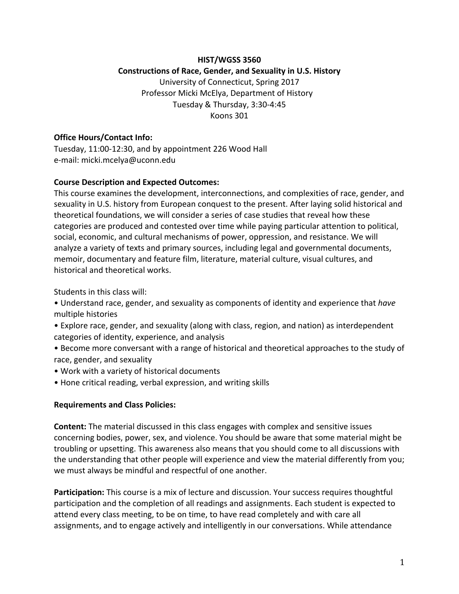## **HIST/WGSS 3560 Constructions of Race, Gender, and Sexuality in U.S. History** University of Connecticut, Spring 2017 Professor Micki McElya, Department of History Tuesday & Thursday, 3:30-4:45 Koons 301

#### **Office Hours/Contact Info:**

Tuesday, 11:00-12:30, and by appointment 226 Wood Hall e-mail: micki.mcelya@uconn.edu

#### **Course Description and Expected Outcomes:**

This course examines the development, interconnections, and complexities of race, gender, and sexuality in U.S. history from European conquest to the present. After laying solid historical and theoretical foundations, we will consider a series of case studies that reveal how these categories are produced and contested over time while paying particular attention to political, social, economic, and cultural mechanisms of power, oppression, and resistance. We will analyze a variety of texts and primary sources, including legal and governmental documents, memoir, documentary and feature film, literature, material culture, visual cultures, and historical and theoretical works.

Students in this class will:

• Understand race, gender, and sexuality as components of identity and experience that *have* multiple histories

- Explore race, gender, and sexuality (along with class, region, and nation) as interdependent categories of identity, experience, and analysis
- Become more conversant with a range of historical and theoretical approaches to the study of race, gender, and sexuality
- Work with a variety of historical documents
- Hone critical reading, verbal expression, and writing skills

## **Requirements and Class Policies:**

**Content:** The material discussed in this class engages with complex and sensitive issues concerning bodies, power, sex, and violence. You should be aware that some material might be troubling or upsetting. This awareness also means that you should come to all discussions with the understanding that other people will experience and view the material differently from you; we must always be mindful and respectful of one another.

**Participation:** This course is a mix of lecture and discussion. Your success requires thoughtful participation and the completion of all readings and assignments. Each student is expected to attend every class meeting, to be on time, to have read completely and with care all assignments, and to engage actively and intelligently in our conversations. While attendance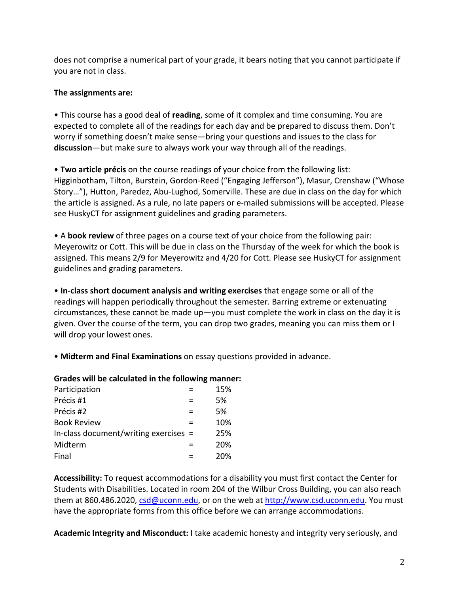does not comprise a numerical part of your grade, it bears noting that you cannot participate if you are not in class.

## **The assignments are:**

• This course has a good deal of **reading**, some of it complex and time consuming. You are expected to complete all of the readings for each day and be prepared to discuss them. Don't worry if something doesn't make sense—bring your questions and issues to the class for discussion—but make sure to always work your way through all of the readings.

• **Two article précis** on the course readings of your choice from the following list: Higginbotham, Tilton, Burstein, Gordon-Reed ("Engaging Jefferson"), Masur, Crenshaw ("Whose Story..."), Hutton, Paredez, Abu-Lughod, Somerville. These are due in class on the day for which the article is assigned. As a rule, no late papers or e-mailed submissions will be accepted. Please see HuskyCT for assignment guidelines and grading parameters.

• A **book review** of three pages on a course text of your choice from the following pair: Meyerowitz or Cott. This will be due in class on the Thursday of the week for which the book is assigned. This means 2/9 for Meyerowitz and 4/20 for Cott. Please see HuskyCT for assignment guidelines and grading parameters.

• In-class short document analysis and writing exercises that engage some or all of the readings will happen periodically throughout the semester. Barring extreme or extenuating circumstances, these cannot be made up-you must complete the work in class on the day it is given. Over the course of the term, you can drop two grades, meaning you can miss them or  $\Gamma$ will drop your lowest ones.

• Midterm and Final Examinations on essay questions provided in advance.

## Grades will be calculated in the following manner:

| Participation                           | 15% |
|-----------------------------------------|-----|
| Précis #1                               | 5%  |
| Précis #2                               | 5%  |
| <b>Book Review</b>                      | 10% |
| In-class document/writing exercises $=$ | 25% |
| Midterm                                 | 20% |
| Final                                   | 20% |
|                                         |     |

Accessibility: To request accommodations for a disability you must first contact the Center for Students with Disabilities. Located in room 204 of the Wilbur Cross Building, you can also reach them at 860.486.2020, csd@uconn.edu, or on the web at http://www.csd.uconn.edu. You must have the appropriate forms from this office before we can arrange accommodations.

Academic Integrity and Misconduct: I take academic honesty and integrity very seriously, and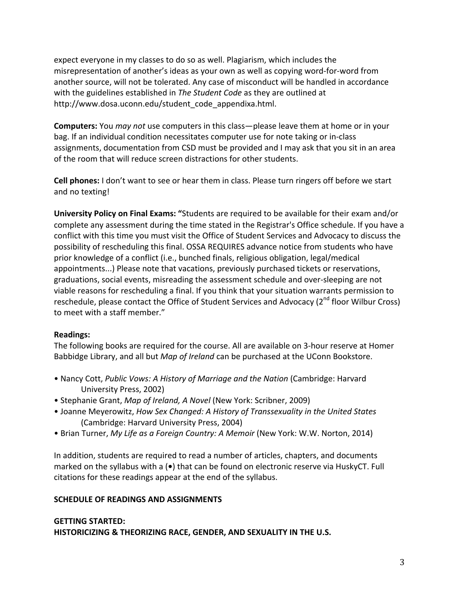expect everyone in my classes to do so as well. Plagiarism, which includes the misrepresentation of another's ideas as your own as well as copying word-for-word from another source, will not be tolerated. Any case of misconduct will be handled in accordance with the guidelines established in *The Student Code* as they are outlined at http://www.dosa.uconn.edu/student\_code\_appendixa.html.

**Computers:** You *may not* use computers in this class—please leave them at home or in your bag. If an individual condition necessitates computer use for note taking or in-class assignments, documentation from CSD must be provided and I may ask that you sit in an area of the room that will reduce screen distractions for other students.

**Cell phones:** I don't want to see or hear them in class. Please turn ringers off before we start and no texting!

University Policy on Final Exams: "Students are required to be available for their exam and/or complete any assessment during the time stated in the Registrar's Office schedule. If you have a conflict with this time you must visit the Office of Student Services and Advocacy to discuss the possibility of rescheduling this final. OSSA REQUIRES advance notice from students who have prior knowledge of a conflict (i.e., bunched finals, religious obligation, legal/medical appointments...) Please note that vacations, previously purchased tickets or reservations, graduations, social events, misreading the assessment schedule and over-sleeping are not viable reasons for rescheduling a final. If you think that your situation warrants permission to reschedule, please contact the Office of Student Services and Advocacy ( $2^{nd}$  floor Wilbur Cross) to meet with a staff member."

#### **Readings:**

The following books are required for the course. All are available on 3-hour reserve at Homer Babbidge Library, and all but *Map of Ireland* can be purchased at the UConn Bookstore.

- Nancy Cott, *Public Vows: A History of Marriage and the Nation* (Cambridge: Harvard University Press, 2002)
- Stephanie Grant, *Map of Ireland, A Novel* (New York: Scribner, 2009)
- Joanne Meyerowitz, *How Sex Changed: A History of Transsexuality in the United States* (Cambridge: Harvard University Press, 2004)
- Brian Turner, *My Life as a Foreign Country: A Memoir* (New York: W.W. Norton, 2014)

In addition, students are required to read a number of articles, chapters, and documents marked on the syllabus with a ( $\bullet$ ) that can be found on electronic reserve via HuskyCT. Full citations for these readings appear at the end of the syllabus.

## **SCHEDULE OF READINGS AND ASSIGNMENTS**

# **GETTING STARTED:** HISTORICIZING & THEORIZING RACE, GENDER, AND SEXUALITY IN THE U.S.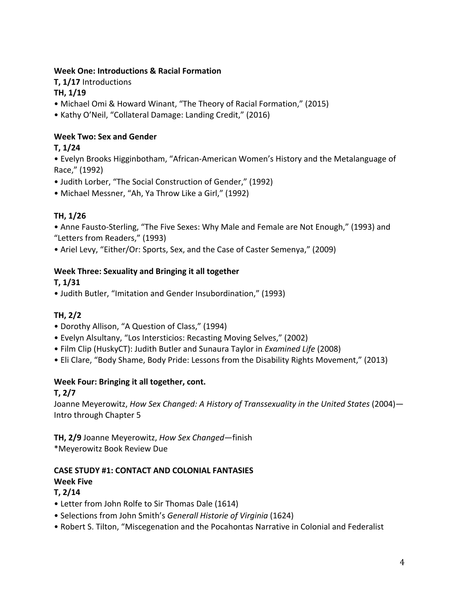## **Week One: Introductions & Racial Formation**

**T, 1/17** Introductions **TH, 1/19**

- Michael Omi & Howard Winant, "The Theory of Racial Formation," (2015)
- Kathy O'Neil, "Collateral Damage: Landing Credit," (2016)

# **Week Two: Sex and Gender**

# **T, 1/24**

• Evelyn Brooks Higginbotham, "African-American Women's History and the Metalanguage of Race," (1992)

- Judith Lorber, "The Social Construction of Gender," (1992)
- Michael Messner, "Ah, Ya Throw Like a Girl," (1992)

# **TH, 1/26**

• Anne Fausto-Sterling, "The Five Sexes: Why Male and Female are Not Enough," (1993) and "Letters from Readers," (1993)

• Ariel Levy, "Either/Or: Sports, Sex, and the Case of Caster Semenya," (2009)

## **Week Three: Sexuality and Bringing it all together**

# **T, 1/31**

• Judith Butler, "Imitation and Gender Insubordination," (1993)

# **TH, 2/2**

- Dorothy Allison, "A Question of Class," (1994)
- Evelyn Alsultany, "Los Intersticios: Recasting Moving Selves," (2002)
- Film Clip (HuskyCT): Judith Butler and Sunaura Taylor in *Examined Life* (2008)
- Eli Clare, "Body Shame, Body Pride: Lessons from the Disability Rights Movement," (2013)

# Week Four: Bringing it all together, cont.

## **T, 2/7**

Joanne Meyerowitz, *How Sex Changed: A History of Transsexuality in the United States* (2004)-Intro through Chapter 5

**TH, 2/9** Joanne Meyerowitz, *How Sex Changed*—finish \*Meyerowitz Book Review Due

# **CASE STUDY #1: CONTACT AND COLONIAL FANTASIES Week Five**

## **T, 2/14**

- Letter from John Rolfe to Sir Thomas Dale (1614)
- Selections from John Smith's Generall Historie of Virginia (1624)
- Robert S. Tilton, "Miscegenation and the Pocahontas Narrative in Colonial and Federalist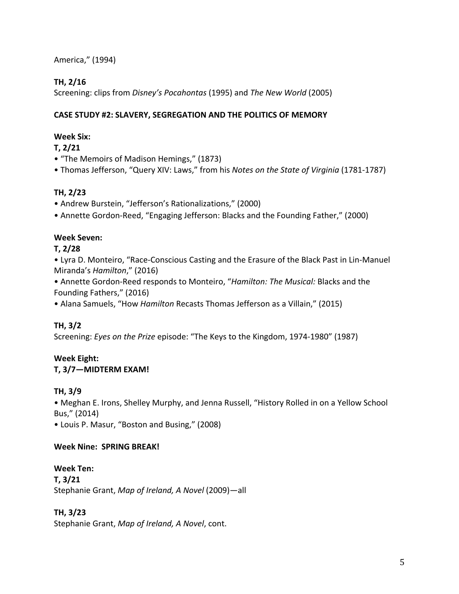America," (1994)

# **TH, 2/16**

Screening: clips from *Disney's Pocahontas* (1995) and *The New World* (2005)

## **CASE STUDY #2: SLAVERY, SEGREGATION AND THE POLITICS OF MEMORY**

# **Week Six:**

**T, 2/21**

• "The Memoirs of Madison Hemings," (1873)

• Thomas Jefferson, "Query XIV: Laws," from his *Notes on the State of Virginia* (1781-1787)

# **TH, 2/23**

- Andrew Burstein, "Jefferson's Rationalizations," (2000)
- Annette Gordon-Reed, "Engaging Jefferson: Blacks and the Founding Father," (2000)

# **Week Seven:**

# **T, 2/28**

• Lyra D. Monteiro, "Race-Conscious Casting and the Erasure of the Black Past in Lin-Manuel Miranda's *Hamilton*," (2016)

• Annette Gordon-Reed responds to Monteiro, "Hamilton: The Musical: Blacks and the Founding Fathers," (2016)

• Alana Samuels, "How *Hamilton* Recasts Thomas Jefferson as a Villain," (2015)

# **TH, 3/2**

Screening: *Eyes on the Prize* episode: "The Keys to the Kingdom, 1974-1980" (1987)

# **Week Eight:**

# **T, 3/7-MIDTERM EXAM!**

# **TH, 3/9**

• Meghan E. Irons, Shelley Murphy, and Jenna Russell, "History Rolled in on a Yellow School Bus," (2014)

• Louis P. Masur, "Boston and Busing," (2008)

# Week Nine: SPRING BREAK!

# **Week Ten: T, 3/21** Stephanie Grant, *Map of Ireland, A Novel* (2009)-all

# **TH, 3/23**

Stephanie Grant, Map of Ireland, A Novel, cont.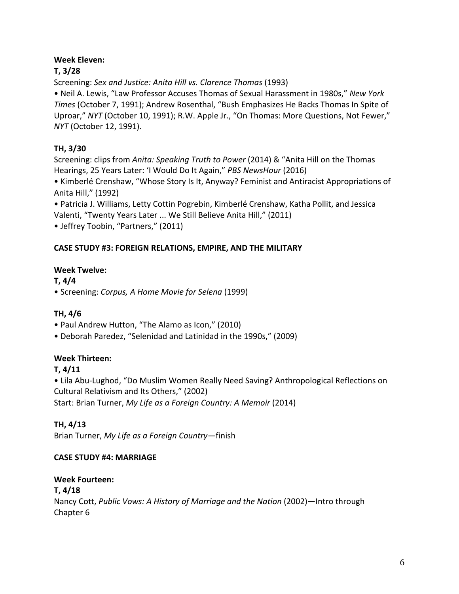## **Week Eleven:**

# **T, 3/28**

Screening: Sex and Justice: Anita Hill vs. Clarence Thomas (1993)

• Neil A. Lewis, "Law Professor Accuses Thomas of Sexual Harassment in 1980s," New York *Times* (October 7, 1991); Andrew Rosenthal, "Bush Emphasizes He Backs Thomas In Spite of Uproar," *NYT* (October 10, 1991); R.W. Apple Jr., "On Thomas: More Questions, Not Fewer," *NYT* (October 12, 1991).

# **TH, 3/30**

Screening: clips from *Anita: Speaking Truth to Power* (2014) & "Anita Hill on the Thomas Hearings, 25 Years Later: 'I Would Do It Again," PBS NewsHour (2016)

• Kimberlé Crenshaw, "Whose Story Is It, Anyway? Feminist and Antiracist Appropriations of Anita Hill," (1992)

• Patricia J. Williams, Letty Cottin Pogrebin, Kimberlé Crenshaw, Katha Pollit, and Jessica Valenti, "Twenty Years Later ... We Still Believe Anita Hill," (2011) • Jeffrey Toobin, "Partners," (2011)

## **CASE STUDY #3: FOREIGN RELATIONS, EMPIRE, AND THE MILITARY**

## **Week Twelve:**

**T, 4/4** • Screening: *Corpus, A Home Movie for Selena* (1999)

# **TH, 4/6**

- Paul Andrew Hutton, "The Alamo as Icon," (2010)
- Deborah Paredez, "Selenidad and Latinidad in the 1990s," (2009)

# **Week Thirteen:**

# **T, 4/11**

• Lila Abu-Lughod, "Do Muslim Women Really Need Saving? Anthropological Reflections on Cultural Relativism and Its Others," (2002) Start: Brian Turner, *My Life as a Foreign Country: A Memoir* (2014)

**TH, 4/13**

Brian Turner, *My Life as a Foreign Country—finish* 

# **CASE STUDY #4: MARRIAGE**

## **Week Fourteen:**

**T, 4/18** Nancy Cott, Public Vows: A History of Marriage and the Nation (2002)—Intro through Chapter 6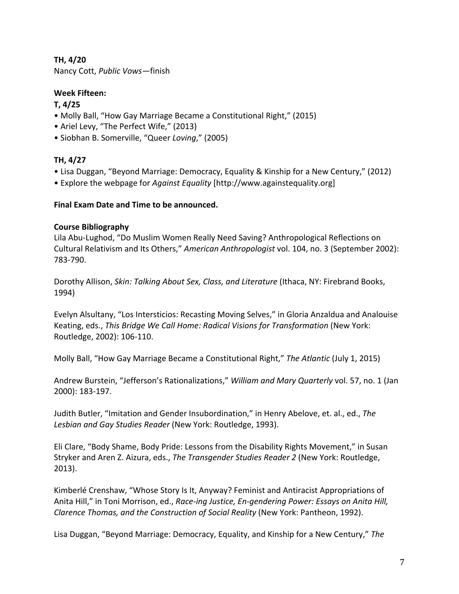## **TH, 4/20**

Nancy Cott, *Public Vows—*finish

## **Week Fifteen:**

## **T, 4/25**

- Molly Ball, "How Gay Marriage Became a Constitutional Right," (2015)
- Ariel Levy, "The Perfect Wife," (2013)
- • Siobhan B. Somerville, "Queer *Loving*," (2005)

# **TH, 4/27**

- Lisa Duggan, "Beyond Marriage: Democracy, Equality & Kinship for a New Century," (2012)
- Explore the webpage for *Against Equality* [http://www.againstequality.org]

## **Final Exam Date and Time to be announced.**

## **Course Bibliography**

Lila Abu-Lughod, "Do Muslim Women Really Need Saving? Anthropological Reflections on Cultural Relativism and Its Others," American Anthropologist vol. 104, no. 3 (September 2002): 783-790.

Dorothy Allison, *Skin: Talking About Sex, Class, and Literature* (Ithaca, NY: Firebrand Books, 1994)

Evelyn Alsultany, "Los Intersticios: Recasting Moving Selves," in Gloria Anzaldua and Analouise Keating, eds., This Bridge We Call Home: Radical Visions for Transformation (New York: Routledge, 2002): 106-110.

Molly Ball, "How Gay Marriage Became a Constitutional Right," The Atlantic (July 1, 2015)

Andrew Burstein, "Jefferson's Rationalizations," *William and Mary Quarterly* vol. 57, no. 1 (Jan 2000): 183-197.

Judith Butler, "Imitation and Gender Insubordination," in Henry Abelove, et. al., ed., *The* Lesbian and Gay Studies Reader (New York: Routledge, 1993).

Eli Clare, "Body Shame, Body Pride: Lessons from the Disability Rights Movement," in Susan Stryker and Aren Z. Aizura, eds., *The Transgender Studies Reader 2* (New York: Routledge, 2013).

Kimberlé Crenshaw, "Whose Story Is It, Anyway? Feminist and Antiracist Appropriations of Anita Hill," in Toni Morrison, ed., *Race-ing Justice, En-gendering Power: Essays on Anita Hill, Clarence Thomas, and the Construction of Social Reality* (New York: Pantheon, 1992).

Lisa Duggan, "Beyond Marriage: Democracy, Equality, and Kinship for a New Century," The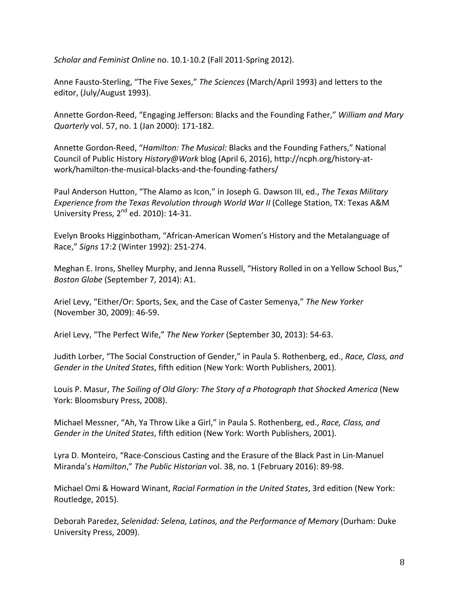*Scholar and Feminist Online no.* 10.1-10.2 (Fall 2011-Spring 2012).

Anne Fausto-Sterling, "The Five Sexes," The Sciences (March/April 1993) and letters to the editor, (July/August 1993).

Annette Gordon-Reed, "Engaging Jefferson: Blacks and the Founding Father," *William and Mary Quarterly* vol. 57, no. 1 (Jan 2000): 171-182.

Annette Gordon-Reed, "*Hamilton: The Musical:* Blacks and the Founding Fathers," National Council of Public History *History@Work* blog (April 6, 2016), http://ncph.org/history-atwork/hamilton-the-musical-blacks-and-the-founding-fathers/

Paul Anderson Hutton, "The Alamo as Icon," in Joseph G. Dawson III, ed., *The Texas Military Experience from the Texas Revolution through World War II* (College Station, TX: Texas A&M University Press,  $2^{nd}$  ed. 2010): 14-31.

Evelyn Brooks Higginbotham, "African-American Women's History and the Metalanguage of Race," *Signs* 17:2 (Winter 1992): 251-274.

Meghan E. Irons, Shelley Murphy, and Jenna Russell, "History Rolled in on a Yellow School Bus," *Boston Globe* (September 7, 2014): A1.

Ariel Levy, "Either/Or: Sports, Sex, and the Case of Caster Semenya," The New Yorker (November 30, 2009): 46-59.

Ariel Levy, "The Perfect Wife," The New Yorker (September 30, 2013): 54-63.

Judith Lorber, "The Social Construction of Gender," in Paula S. Rothenberg, ed., *Race, Class, and* Gender in the United States, fifth edition (New York: Worth Publishers, 2001).

Louis P. Masur, *The Soiling of Old Glory: The Story of a Photograph that Shocked America* (New York: Bloomsbury Press, 2008).

Michael Messner, "Ah, Ya Throw Like a Girl," in Paula S. Rothenberg, ed., *Race, Class, and Gender in the United States*, fifth edition (New York: Worth Publishers, 2001).

Lyra D. Monteiro, "Race-Conscious Casting and the Erasure of the Black Past in Lin-Manuel Miranda's *Hamilton*," The Public Historian vol. 38, no. 1 (February 2016): 89-98.

Michael Omi & Howard Winant, *Racial Formation in the United States*, 3rd edition (New York: Routledge, 2015).

Deborah Paredez, Selenidad: Selena, Latinos, and the Performance of Memory (Durham: Duke University Press, 2009).